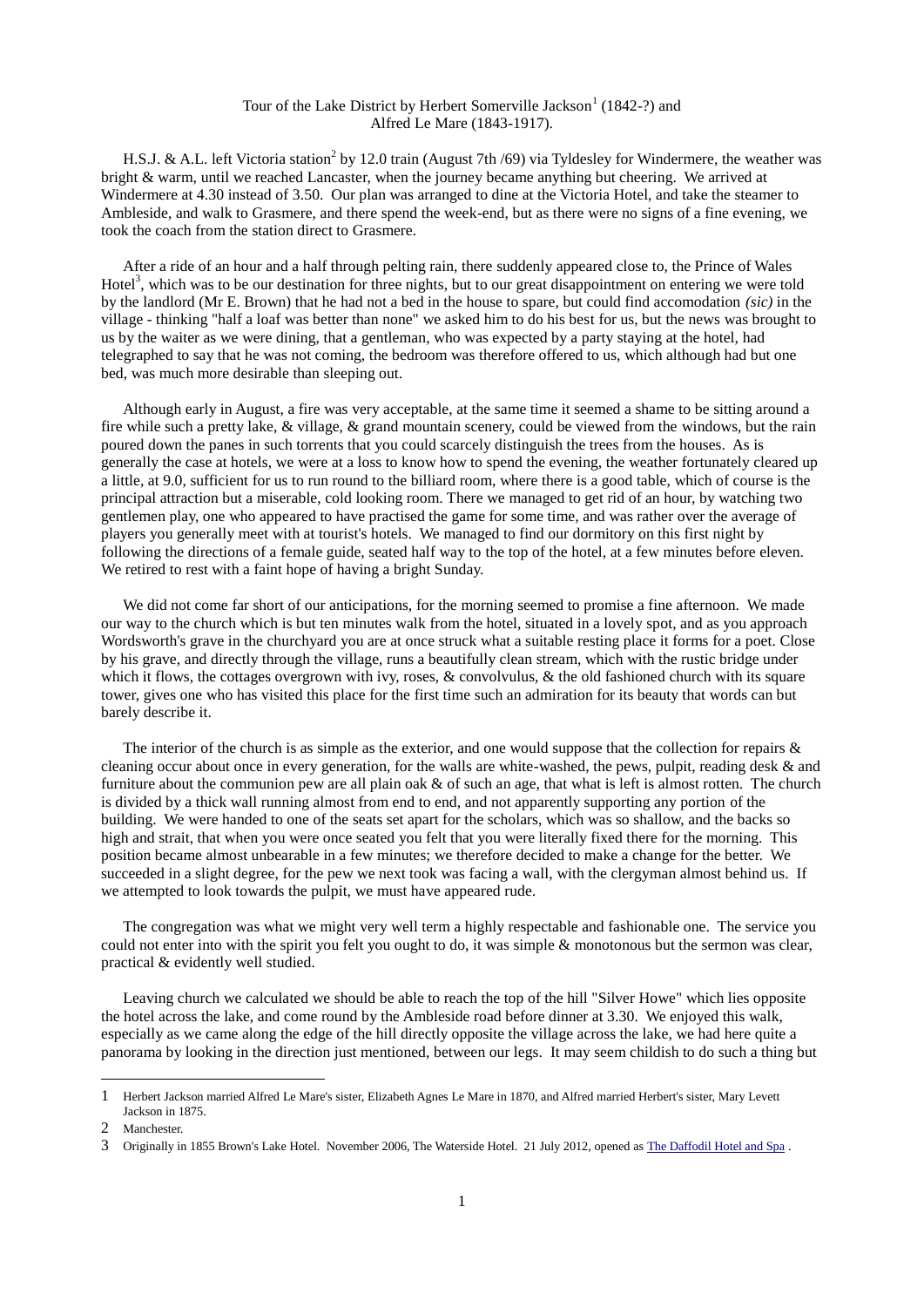## Tour of the Lake District by Herbert Somerville Jackson<sup>1</sup> (1842-?) and Alfred Le Mare (1843-1917).

H.S.J. & A.L. left Victoria station<sup>2</sup> by 12.0 train (August 7th /69) via Tyldesley for Windermere, the weather was bright & warm, until we reached Lancaster, when the journey became anything but cheering. We arrived at Windermere at 4.30 instead of 3.50. Our plan was arranged to dine at the Victoria Hotel, and take the steamer to Ambleside, and walk to Grasmere, and there spend the week-end, but as there were no signs of a fine evening, we took the coach from the station direct to Grasmere.

After a ride of an hour and a half through pelting rain, there suddenly appeared close to, the Prince of Wales Hotel<sup>3</sup>, which was to be our destination for three nights, but to our great disappointment on entering we were told by the landlord (Mr E. Brown) that he had not a bed in the house to spare, but could find accomodation *(sic)* in the village - thinking "half a loaf was better than none" we asked him to do his best for us, but the news was brought to us by the waiter as we were dining, that a gentleman, who was expected by a party staying at the hotel, had telegraphed to say that he was not coming, the bedroom was therefore offered to us, which although had but one bed, was much more desirable than sleeping out.

Although early in August, a fire was very acceptable, at the same time it seemed a shame to be sitting around a fire while such a pretty lake, & village, & grand mountain scenery, could be viewed from the windows, but the rain poured down the panes in such torrents that you could scarcely distinguish the trees from the houses. As is generally the case at hotels, we were at a loss to know how to spend the evening, the weather fortunately cleared up a little, at 9.0, sufficient for us to run round to the billiard room, where there is a good table, which of course is the principal attraction but a miserable, cold looking room. There we managed to get rid of an hour, by watching two gentlemen play, one who appeared to have practised the game for some time, and was rather over the average of players you generally meet with at tourist's hotels. We managed to find our dormitory on this first night by following the directions of a female guide, seated half way to the top of the hotel, at a few minutes before eleven. We retired to rest with a faint hope of having a bright Sunday.

We did not come far short of our anticipations, for the morning seemed to promise a fine afternoon. We made our way to the church which is but ten minutes walk from the hotel, situated in a lovely spot, and as you approach Wordsworth's grave in the churchyard you are at once struck what a suitable resting place it forms for a poet. Close by his grave, and directly through the village, runs a beautifully clean stream, which with the rustic bridge under which it flows, the cottages overgrown with ivy, roses,  $\&$  convolvulus,  $\&$  the old fashioned church with its square tower, gives one who has visited this place for the first time such an admiration for its beauty that words can but barely describe it.

The interior of the church is as simple as the exterior, and one would suppose that the collection for repairs  $\&$ cleaning occur about once in every generation, for the walls are white-washed, the pews, pulpit, reading desk & and furniture about the communion pew are all plain oak & of such an age, that what is left is almost rotten. The church is divided by a thick wall running almost from end to end, and not apparently supporting any portion of the building. We were handed to one of the seats set apart for the scholars, which was so shallow, and the backs so high and strait, that when you were once seated you felt that you were literally fixed there for the morning. This position became almost unbearable in a few minutes; we therefore decided to make a change for the better. We succeeded in a slight degree, for the pew we next took was facing a wall, with the clergyman almost behind us. If we attempted to look towards the pulpit, we must have appeared rude.

The congregation was what we might very well term a highly respectable and fashionable one. The service you could not enter into with the spirit you felt you ought to do, it was simple & monotonous but the sermon was clear, practical & evidently well studied.

Leaving church we calculated we should be able to reach the top of the hill "Silver Howe" which lies opposite the hotel across the lake, and come round by the Ambleside road before dinner at 3.30. We enjoyed this walk, especially as we came along the edge of the hill directly opposite the village across the lake, we had here quite a panorama by looking in the direction just mentioned, between our legs. It may seem childish to do such a thing but

l

<sup>1</sup> Herbert Jackson married Alfred Le Mare's sister, Elizabeth Agnes Le Mare in 1870, and Alfred married Herbert's sister, Mary Levett Jackson in 1875.

<sup>2</sup> Manchester.

<sup>3</sup> Originally in 1855 Brown's Lake Hotel. November 2006, The Waterside Hotel. 21 July 2012, opened as [The Daffodil Hotel and Spa](https://www.daffodilhotel.co.uk/our-story/) .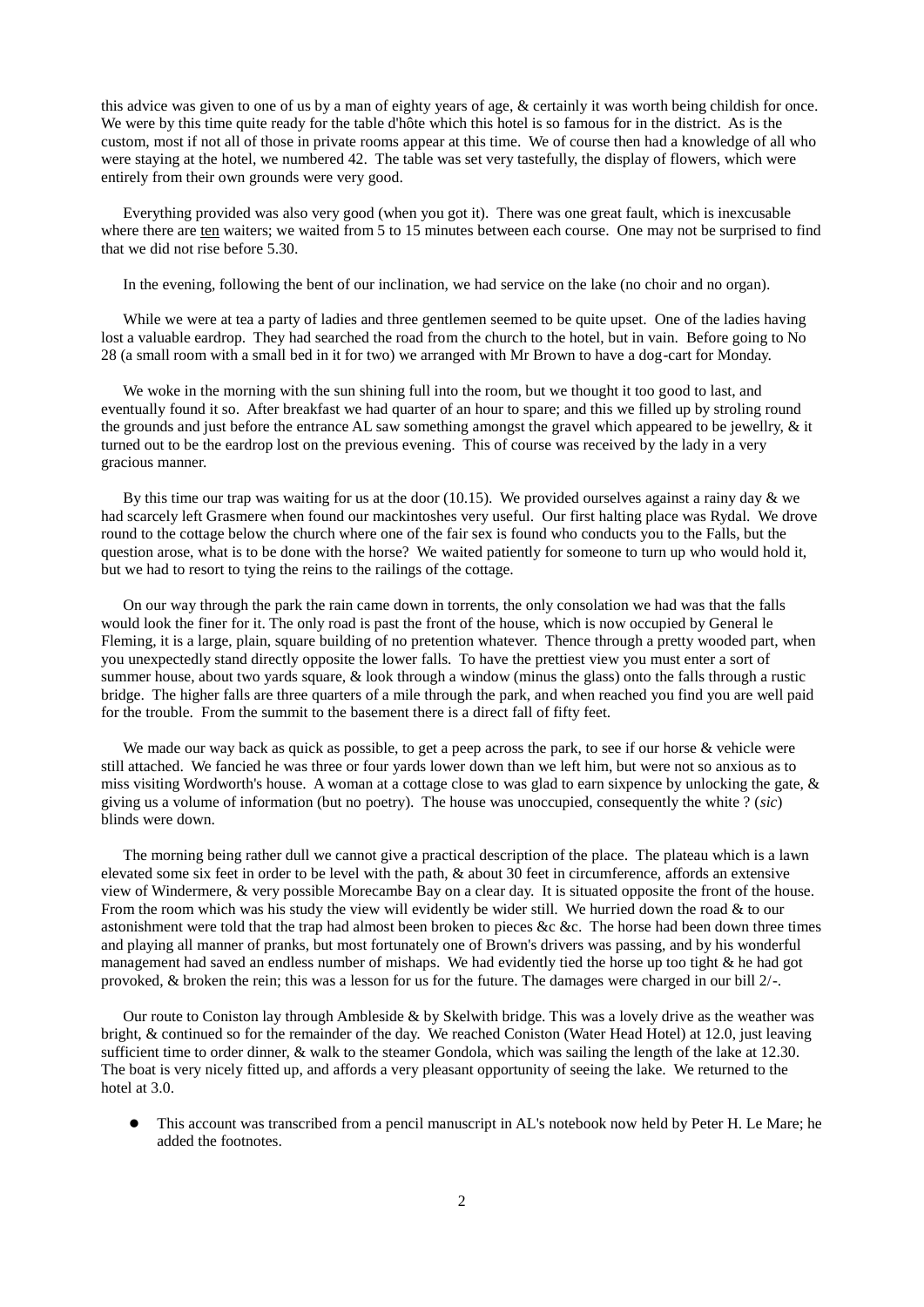this advice was given to one of us by a man of eighty years of age, & certainly it was worth being childish for once. We were by this time quite ready for the table d'hôte which this hotel is so famous for in the district. As is the custom, most if not all of those in private rooms appear at this time. We of course then had a knowledge of all who were staying at the hotel, we numbered 42. The table was set very tastefully, the display of flowers, which were entirely from their own grounds were very good.

Everything provided was also very good (when you got it). There was one great fault, which is inexcusable where there are ten waiters; we waited from 5 to 15 minutes between each course. One may not be surprised to find that we did not rise before 5.30.

In the evening, following the bent of our inclination, we had service on the lake (no choir and no organ).

While we were at tea a party of ladies and three gentlemen seemed to be quite upset. One of the ladies having lost a valuable eardrop. They had searched the road from the church to the hotel, but in vain. Before going to No 28 (a small room with a small bed in it for two) we arranged with Mr Brown to have a dog-cart for Monday.

We woke in the morning with the sun shining full into the room, but we thought it too good to last, and eventually found it so. After breakfast we had quarter of an hour to spare; and this we filled up by stroling round the grounds and just before the entrance AL saw something amongst the gravel which appeared to be jewellry, & it turned out to be the eardrop lost on the previous evening. This of course was received by the lady in a very gracious manner.

By this time our trap was waiting for us at the door  $(10.15)$ . We provided ourselves against a rainy day  $\&$  we had scarcely left Grasmere when found our mackintoshes very useful. Our first halting place was Rydal. We drove round to the cottage below the church where one of the fair sex is found who conducts you to the Falls, but the question arose, what is to be done with the horse? We waited patiently for someone to turn up who would hold it, but we had to resort to tying the reins to the railings of the cottage.

On our way through the park the rain came down in torrents, the only consolation we had was that the falls would look the finer for it. The only road is past the front of the house, which is now occupied by General le Fleming, it is a large, plain, square building of no pretention whatever. Thence through a pretty wooded part, when you unexpectedly stand directly opposite the lower falls. To have the prettiest view you must enter a sort of summer house, about two yards square, & look through a window (minus the glass) onto the falls through a rustic bridge. The higher falls are three quarters of a mile through the park, and when reached you find you are well paid for the trouble. From the summit to the basement there is a direct fall of fifty feet.

We made our way back as quick as possible, to get a peep across the park, to see if our horse & vehicle were still attached. We fancied he was three or four yards lower down than we left him, but were not so anxious as to miss visiting Wordworth's house. A woman at a cottage close to was glad to earn sixpence by unlocking the gate,  $\&$ giving us a volume of information (but no poetry). The house was unoccupied, consequently the white ? (*sic*) blinds were down.

The morning being rather dull we cannot give a practical description of the place. The plateau which is a lawn elevated some six feet in order to be level with the path, & about 30 feet in circumference, affords an extensive view of Windermere, & very possible Morecambe Bay on a clear day. It is situated opposite the front of the house. From the room which was his study the view will evidently be wider still. We hurried down the road & to our astonishment were told that the trap had almost been broken to pieces &c &c. The horse had been down three times and playing all manner of pranks, but most fortunately one of Brown's drivers was passing, and by his wonderful management had saved an endless number of mishaps. We had evidently tied the horse up too tight & he had got provoked, & broken the rein; this was a lesson for us for the future. The damages were charged in our bill 2/-.

Our route to Coniston lay through Ambleside & by Skelwith bridge. This was a lovely drive as the weather was bright, & continued so for the remainder of the day. We reached Coniston (Water Head Hotel) at 12.0, just leaving sufficient time to order dinner, & walk to the steamer Gondola, which was sailing the length of the lake at 12.30. The boat is very nicely fitted up, and affords a very pleasant opportunity of seeing the lake. We returned to the hotel at 3.0.

 This account was transcribed from a pencil manuscript in AL's notebook now held by Peter H. Le Mare; he added the footnotes.